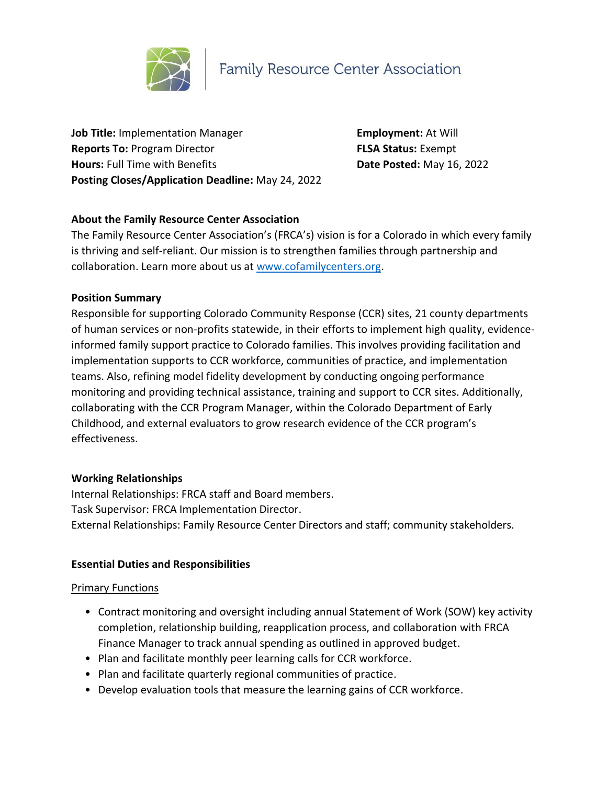

**Job Title:** Implementation Manager **Employment:** At Will **Reports To:** Program Director **FLSA Status:** Exempt **Hours:** Full Time with Benefits **Date Posted:** May 16, 2022 **Posting Closes/Application Deadline:** May 24, 2022

# **About the Family Resource Center Association**

The Family Resource Center Association's (FRCA's) vision is for a Colorado in which every family is thriving and self-reliant. Our mission is to strengthen families through partnership and collaboration. Learn more about us at [www.cofamilycenters.org.](http://www.cofamilycenters.org/)

### **Position Summary**

Responsible for supporting Colorado Community Response (CCR) sites, 21 county departments of human services or non-profits statewide, in their efforts to implement high quality, evidenceinformed family support practice to Colorado families. This involves providing facilitation and implementation supports to CCR workforce, communities of practice, and implementation teams. Also, refining model fidelity development by conducting ongoing performance monitoring and providing technical assistance, training and support to CCR sites. Additionally, collaborating with the CCR Program Manager, within the Colorado Department of Early Childhood, and external evaluators to grow research evidence of the CCR program's effectiveness.

#### **Working Relationships**

Internal Relationships: FRCA staff and Board members. Task Supervisor: FRCA Implementation Director. External Relationships: Family Resource Center Directors and staff; community stakeholders.

## **Essential Duties and Responsibilities**

#### **Primary Functions**

- Contract monitoring and oversight including annual Statement of Work (SOW) key activity completion, relationship building, reapplication process, and collaboration with FRCA Finance Manager to track annual spending as outlined in approved budget.
- Plan and facilitate monthly peer learning calls for CCR workforce.
- Plan and facilitate quarterly regional communities of practice.
- Develop evaluation tools that measure the learning gains of CCR workforce.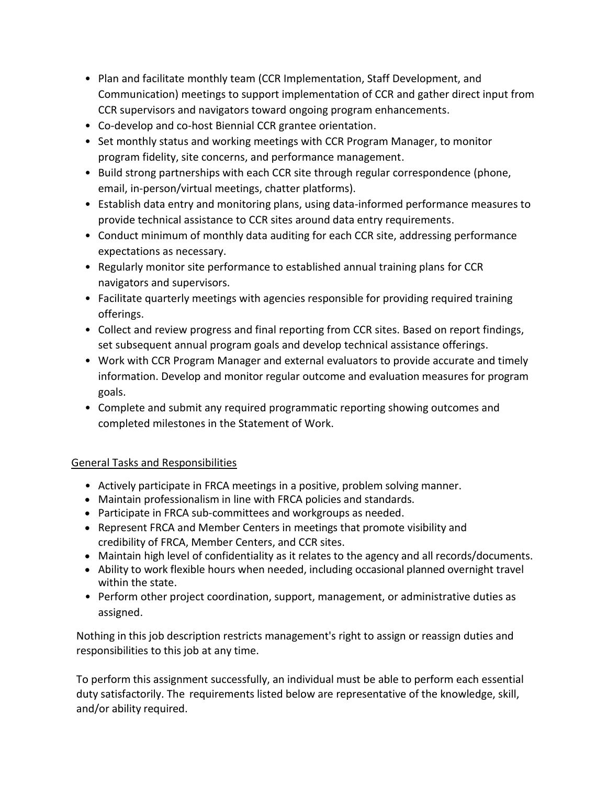- Plan and facilitate monthly team (CCR Implementation, Staff Development, and Communication) meetings to support implementation of CCR and gather direct input from CCR supervisors and navigators toward ongoing program enhancements.
- Co-develop and co-host Biennial CCR grantee orientation.
- Set monthly status and working meetings with CCR Program Manager, to monitor program fidelity, site concerns, and performance management.
- Build strong partnerships with each CCR site through regular correspondence (phone, email, in-person/virtual meetings, chatter platforms).
- Establish data entry and monitoring plans, using data-informed performance measures to provide technical assistance to CCR sites around data entry requirements.
- Conduct minimum of monthly data auditing for each CCR site, addressing performance expectations as necessary.
- Regularly monitor site performance to established annual training plans for CCR navigators and supervisors.
- Facilitate quarterly meetings with agencies responsible for providing required training offerings.
- Collect and review progress and final reporting from CCR sites. Based on report findings, set subsequent annual program goals and develop technical assistance offerings.
- Work with CCR Program Manager and external evaluators to provide accurate and timely information. Develop and monitor regular outcome and evaluation measures for program goals.
- Complete and submit any required programmatic reporting showing outcomes and completed milestones in the Statement of Work.

# General Tasks and Responsibilities

- Actively participate in FRCA meetings in a positive, problem solving manner.
- Maintain professionalism in line with FRCA policies and standards.
- Participate in FRCA sub-committees and workgroups as needed.
- Represent FRCA and Member Centers in meetings that promote visibility and credibility of FRCA, Member Centers, and CCR sites.
- Maintain high level of confidentiality as it relates to the agency and all records/documents.
- Ability to work flexible hours when needed, including occasional planned overnight travel within the state.
- Perform other project coordination, support, management, or administrative duties as assigned.

Nothing in this job description restricts management's right to assign or reassign duties and responsibilities to this job at any time.

To perform this assignment successfully, an individual must be able to perform each essential duty satisfactorily. The requirements listed below are representative of the knowledge, skill, and/or ability required.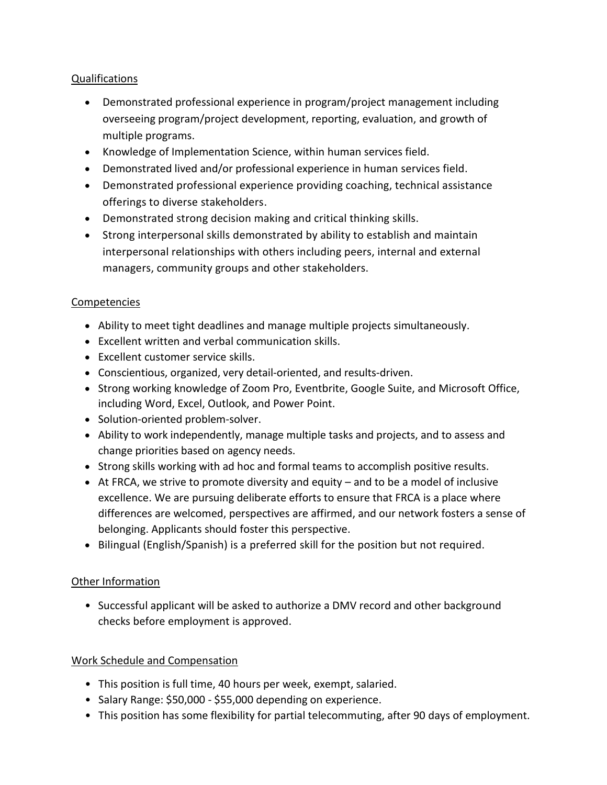# Qualifications

- Demonstrated professional experience in program/project management including overseeing program/project development, reporting, evaluation, and growth of multiple programs.
- Knowledge of Implementation Science, within human services field.
- Demonstrated lived and/or professional experience in human services field.
- Demonstrated professional experience providing coaching, technical assistance offerings to diverse stakeholders.
- Demonstrated strong decision making and critical thinking skills.
- Strong interpersonal skills demonstrated by ability to establish and maintain interpersonal relationships with others including peers, internal and external managers, community groups and other stakeholders.

## Competencies

- Ability to meet tight deadlines and manage multiple projects simultaneously.
- Excellent written and verbal communication skills.
- Excellent customer service skills.
- Conscientious, organized, very detail-oriented, and results-driven.
- Strong working knowledge of Zoom Pro, Eventbrite, Google Suite, and Microsoft Office, including Word, Excel, Outlook, and Power Point.
- Solution-oriented problem-solver.
- Ability to work independently, manage multiple tasks and projects, and to assess and change priorities based on agency needs.
- Strong skills working with ad hoc and formal teams to accomplish positive results.
- $\bullet$  At FRCA, we strive to promote diversity and equity and to be a model of inclusive excellence. We are pursuing deliberate efforts to ensure that FRCA is a place where differences are welcomed, perspectives are affirmed, and our network fosters a sense of belonging. Applicants should foster this perspective.
- Bilingual (English/Spanish) is a preferred skill for the position but not required.

## Other Information

• Successful applicant will be asked to authorize a DMV record and other background checks before employment is approved.

## Work Schedule and Compensation

- This position is full time, 40 hours per week, exempt, salaried.
- Salary Range: \$50,000 \$55,000 depending on experience.
- This position has some flexibility for partial telecommuting, after 90 days of employment.